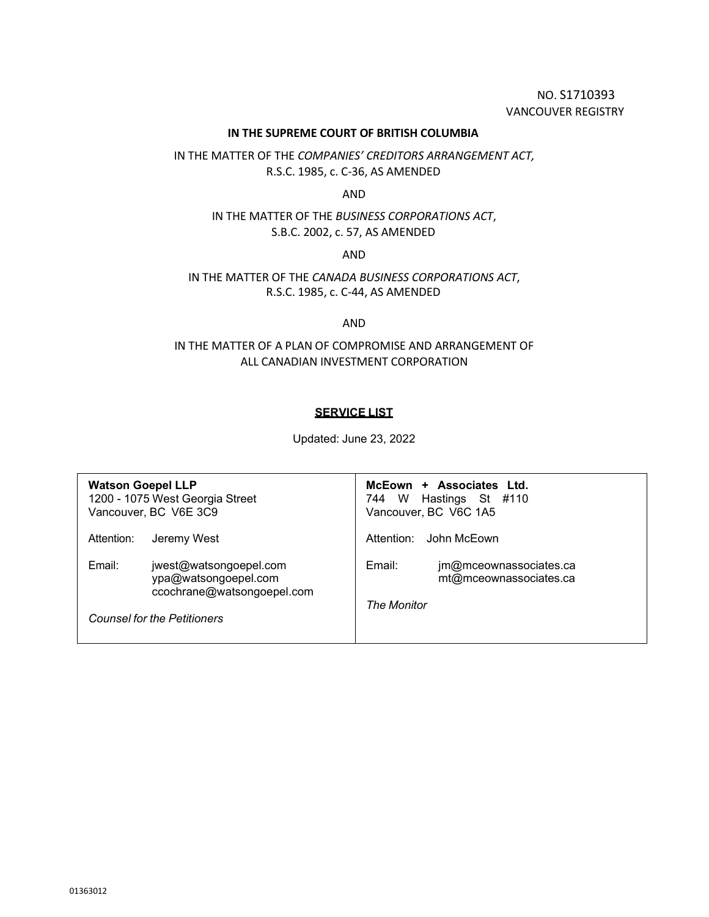NO. S1710393 VANCOUVER REGISTRY

## **IN THE SUPREME COURT OF BRITISH COLUMBIA**

IN THE MATTER OF THE *COMPANIES' CREDITORS ARRANGEMENT ACT,* R.S.C. 1985, c. C-36, AS AMENDED

AND

IN THE MATTER OF THE *BUSINESS CORPORATIONS ACT*, S.B.C. 2002, c. 57, AS AMENDED

AND

IN THE MATTER OF THE *CANADA BUSINESS CORPORATIONS ACT*, R.S.C. 1985, c. C-44, AS AMENDED

AND

IN THE MATTER OF A PLAN OF COMPROMISE AND ARRANGEMENT OF ALL CANADIAN INVESTMENT CORPORATION

## **SERVICE LIST**

Updated: June 23, 2022

| <b>Watson Goepel LLP</b><br>1200 - 1075 West Georgia Street<br>Vancouver, BC V6E 3C9 |                                                                              |             | McEown + Associates Ltd.<br>744 W Hastings St #110<br>Vancouver, BC V6C 1A5 |
|--------------------------------------------------------------------------------------|------------------------------------------------------------------------------|-------------|-----------------------------------------------------------------------------|
| Attention:                                                                           | Jeremy West                                                                  | Attention:  | John McEown                                                                 |
| Email:                                                                               | jwest@watsongoepel.com<br>ypa@watsongoepel.com<br>ccochrane@watsongoepel.com | Email:      | jm@mceownassociates.ca<br>mt@mceownassociates.ca                            |
| <b>Counsel for the Petitioners</b>                                                   |                                                                              | The Monitor |                                                                             |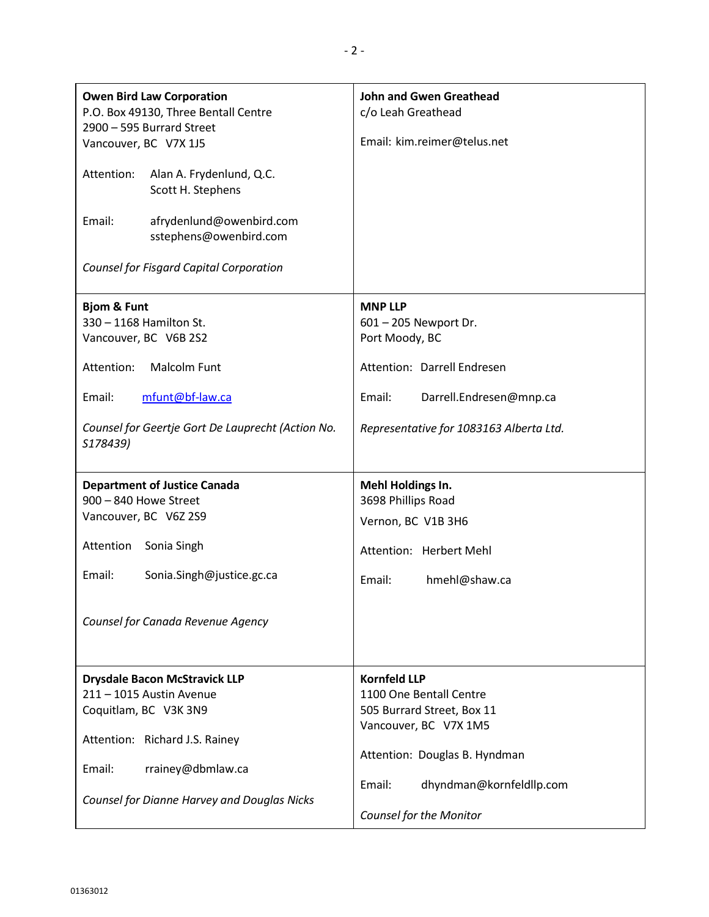| <b>Owen Bird Law Corporation</b><br>P.O. Box 49130, Three Bentall Centre<br>2900 - 595 Burrard Street<br>Vancouver, BC V7X 1J5<br>Attention:<br>Alan A. Frydenlund, Q.C.<br>Scott H. Stephens<br>Email:<br>afrydenlund@owenbird.com<br>sstephens@owenbird.com | <b>John and Gwen Greathead</b><br>c/o Leah Greathead<br>Email: kim.reimer@telus.net                                                                                                                     |
|---------------------------------------------------------------------------------------------------------------------------------------------------------------------------------------------------------------------------------------------------------------|---------------------------------------------------------------------------------------------------------------------------------------------------------------------------------------------------------|
| <b>Counsel for Fisgard Capital Corporation</b>                                                                                                                                                                                                                |                                                                                                                                                                                                         |
| <b>Bjom &amp; Funt</b><br>330 - 1168 Hamilton St.<br>Vancouver, BC V6B 2S2<br><b>Malcolm Funt</b><br>Attention:<br>Email:<br>mfunt@bf-law.ca<br>Counsel for Geertje Gort De Lauprecht (Action No.<br>S178439)                                                 | <b>MNP LLP</b><br>601 - 205 Newport Dr.<br>Port Moody, BC<br>Attention: Darrell Endresen<br>Darrell.Endresen@mnp.ca<br>Email:<br>Representative for 1083163 Alberta Ltd.                                |
| <b>Department of Justice Canada</b><br>900 - 840 Howe Street<br>Vancouver, BC V6Z 2S9<br>Attention<br>Sonia Singh<br>Email:<br>Sonia.Singh@justice.gc.ca<br>Counsel for Canada Revenue Agency                                                                 | Mehl Holdings In.<br>3698 Phillips Road<br>Vernon, BC V1B 3H6<br>Attention: Herbert Mehl<br>hmehl@shaw.ca<br>Email:                                                                                     |
| <b>Drysdale Bacon McStravick LLP</b><br>211 - 1015 Austin Avenue<br>Coquitlam, BC V3K 3N9<br>Attention: Richard J.S. Rainey<br>Email:<br>rrainey@dbmlaw.ca<br>Counsel for Dianne Harvey and Douglas Nicks                                                     | <b>Kornfeld LLP</b><br>1100 One Bentall Centre<br>505 Burrard Street, Box 11<br>Vancouver, BC V7X 1M5<br>Attention: Douglas B. Hyndman<br>dhyndman@kornfeldllp.com<br>Email:<br>Counsel for the Monitor |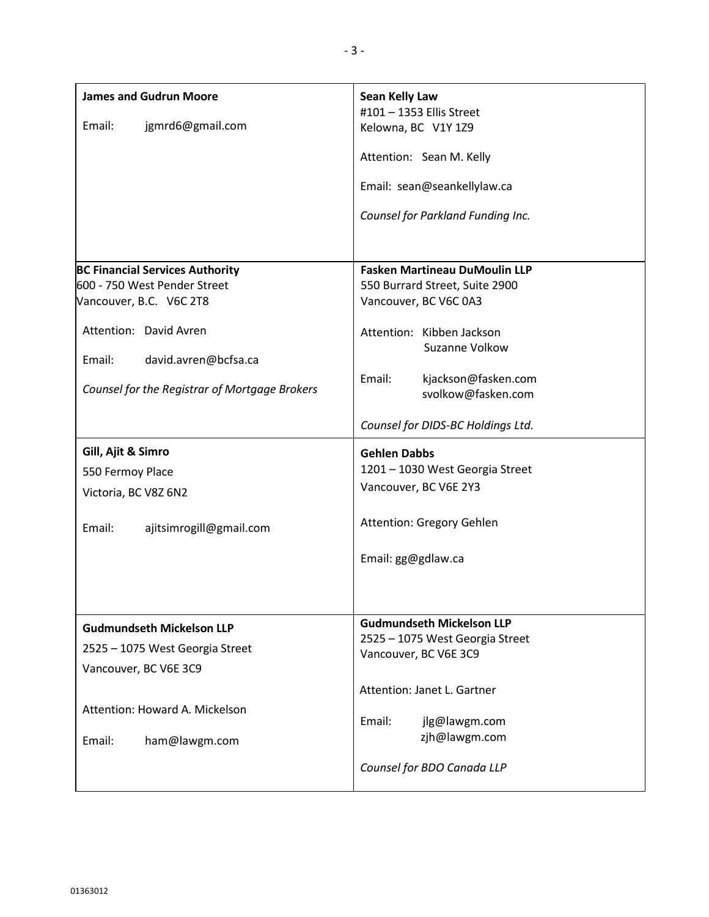| <b>James and Gudrun Moore</b><br>Email:<br>jgmrd6@gmail.com                                                                                                                                                    | Sean Kelly Law<br>#101 - 1353 Ellis Street<br>Kelowna, BC V1Y 1Z9<br>Attention: Sean M. Kelly<br>Email: sean@seankellylaw.ca<br>Counsel for Parkland Funding Inc.                                                                          |
|----------------------------------------------------------------------------------------------------------------------------------------------------------------------------------------------------------------|--------------------------------------------------------------------------------------------------------------------------------------------------------------------------------------------------------------------------------------------|
| <b>BC Financial Services Authority</b><br>600 - 750 West Pender Street<br>Vancouver, B.C. V6C 2T8<br>Attention: David Avren<br>Email:<br>david.avren@bcfsa.ca<br>Counsel for the Registrar of Mortgage Brokers | <b>Fasken Martineau DuMoulin LLP</b><br>550 Burrard Street, Suite 2900<br>Vancouver, BC V6C 0A3<br>Attention: Kibben Jackson<br>Suzanne Volkow<br>Email:<br>kjackson@fasken.com<br>svolkow@fasken.com<br>Counsel for DIDS-BC Holdings Ltd. |
| Gill, Ajit & Simro<br>550 Fermoy Place<br>Victoria, BC V8Z 6N2<br>Email:<br>ajitsimrogill@gmail.com                                                                                                            | <b>Gehlen Dabbs</b><br>1201 - 1030 West Georgia Street<br>Vancouver, BC V6E 2Y3<br>Attention: Gregory Gehlen<br>Email: gg@gdlaw.ca                                                                                                         |
| <b>Gudmundseth Mickelson LLP</b><br>2525 - 1075 West Georgia Street<br>Vancouver, BC V6E 3C9<br>Attention: Howard A. Mickelson<br>Email:<br>ham@lawgm.com                                                      | <b>Gudmundseth Mickelson LLP</b><br>2525 - 1075 West Georgia Street<br>Vancouver, BC V6E 3C9<br>Attention: Janet L. Gartner<br>Email:<br>jlg@lawgm.com<br>zjh@lawgm.com<br>Counsel for BDO Canada LLP                                      |